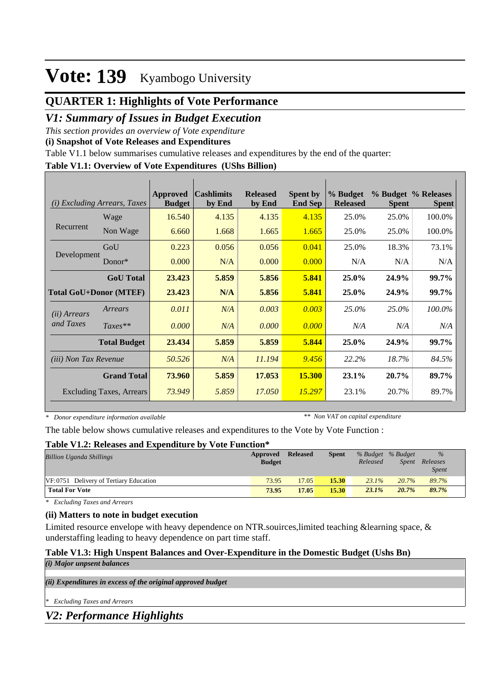## **QUARTER 1: Highlights of Vote Performance**

### *V1: Summary of Issues in Budget Execution*

*This section provides an overview of Vote expenditure* 

**(i) Snapshot of Vote Releases and Expenditures**

Table V1.1 below summarises cumulative releases and expenditures by the end of the quarter:

#### **Table V1.1: Overview of Vote Expenditures (UShs Billion)**

| (i)                          |                                                                                                                                                                                                                                                                                                                                                                                                                                                                                                                                                                                                       | Approved<br><b>Budget</b> | by End | <b>Released</b><br>by End | <b>Spent by</b><br><b>End Sep</b> | % Budget<br><b>Released</b> | <b>Spent</b> | <b>Spent</b> |
|------------------------------|-------------------------------------------------------------------------------------------------------------------------------------------------------------------------------------------------------------------------------------------------------------------------------------------------------------------------------------------------------------------------------------------------------------------------------------------------------------------------------------------------------------------------------------------------------------------------------------------------------|---------------------------|--------|---------------------------|-----------------------------------|-----------------------------|--------------|--------------|
|                              | <b>Cashlimits</b><br>% Budget % Releases<br><b>Excluding Arrears, Taxes</b><br>Wage<br>4.135<br>4.135<br>16.540<br>4.135<br>25.0%<br>25.0%<br>Non Wage<br>25.0%<br>6.660<br>1.668<br>1.665<br>1.665<br>25.0%<br>GoU<br>0.223<br>0.056<br>0.056<br>0.041<br>18.3%<br>25.0%<br>Donor $*$<br>0.000<br>0.000<br>N/A<br>0.000<br>N/A<br>N/A<br>23.423<br>5.859<br>5.856<br>5.841<br><b>GoU</b> Total<br>$25.0\%$<br>24.9%<br>N/A<br>5.856<br>5.841<br>23.423<br>25.0%<br>24.9%<br>0.003<br>0.011<br>N/A<br>0.003<br>25.0%<br>25.0%<br>Arrears<br>0.000<br>0.000<br>$Taxes**$<br>N/A<br>0.000<br>N/A<br>N/A | 100.0%                    |        |                           |                                   |                             |              |              |
| Recurrent                    |                                                                                                                                                                                                                                                                                                                                                                                                                                                                                                                                                                                                       |                           |        |                           |                                   |                             |              | 100.0%       |
|                              |                                                                                                                                                                                                                                                                                                                                                                                                                                                                                                                                                                                                       |                           |        |                           |                                   |                             |              | 73.1%        |
| Development                  |                                                                                                                                                                                                                                                                                                                                                                                                                                                                                                                                                                                                       |                           |        |                           |                                   |                             |              | N/A          |
|                              |                                                                                                                                                                                                                                                                                                                                                                                                                                                                                                                                                                                                       |                           |        |                           |                                   |                             |              | 99.7%        |
|                              | <b>Total GoU+Donor (MTEF)</b>                                                                                                                                                                                                                                                                                                                                                                                                                                                                                                                                                                         |                           |        |                           |                                   |                             |              | 99.7%        |
| ( <i>ii</i> ) Arrears        |                                                                                                                                                                                                                                                                                                                                                                                                                                                                                                                                                                                                       |                           |        |                           |                                   |                             |              | 100.0%       |
| and Taxes                    |                                                                                                                                                                                                                                                                                                                                                                                                                                                                                                                                                                                                       |                           |        |                           |                                   |                             |              | N/A          |
|                              | <b>Total Budget</b>                                                                                                                                                                                                                                                                                                                                                                                                                                                                                                                                                                                   | 23.434                    | 5.859  | 5.859                     | 5.844                             | 25.0%                       | 24.9%        | 99.7%        |
| <i>(iii)</i> Non Tax Revenue |                                                                                                                                                                                                                                                                                                                                                                                                                                                                                                                                                                                                       | 50.526                    | N/A    | 11.194                    | 9.456                             | 22.2%                       | 18.7%        | 84.5%        |
|                              | <b>Grand Total</b>                                                                                                                                                                                                                                                                                                                                                                                                                                                                                                                                                                                    | 73.960                    | 5.859  | 17.053                    | <b>15.300</b>                     | 23.1%                       | 20.7%        | 89.7%        |
|                              | <b>Excluding Taxes, Arrears</b>                                                                                                                                                                                                                                                                                                                                                                                                                                                                                                                                                                       | 73.949                    | 5.859  | 17.050                    | 15.297                            | 23.1%                       | 20.7%        | 89.7%        |

*\* Donor expenditure information available*

*\*\* Non VAT on capital expenditure*

The table below shows cumulative releases and expenditures to the Vote by Vote Function :

### **Table V1.2: Releases and Expenditure by Vote Function\***

| <b>Billion Uganda Shillings</b>        | Approved<br><b>Budget</b> | <b>Released</b> | <b>Spent</b> | % Budget % Budget<br>Released | Spent | $\%$<br>Releases<br><i>Spent</i> |
|----------------------------------------|---------------------------|-----------------|--------------|-------------------------------|-------|----------------------------------|
| VF:0751 Delivery of Tertiary Education | 73.95                     | 17.05           | 15.30        | $23.1\%$                      | 20.7% | 89.7%                            |
| <b>Total For Vote</b>                  | 73.95                     | 17.05           | 15.30        | $23.1\%$                      | 20.7% | 89.7%                            |

*\* Excluding Taxes and Arrears*

### **(ii) Matters to note in budget execution**

Limited resource envelope with heavy dependence on NTR.souirces,limited teaching &learning space, & understaffing leading to heavy dependence on part time staff.

### **Table V1.3: High Unspent Balances and Over-Expenditure in the Domestic Budget (Ushs Bn)**

*(ii) Expenditures in excess of the original approved budget (i) Major unpsent balances*

*\* Excluding Taxes and Arrears*

*V2: Performance Highlights*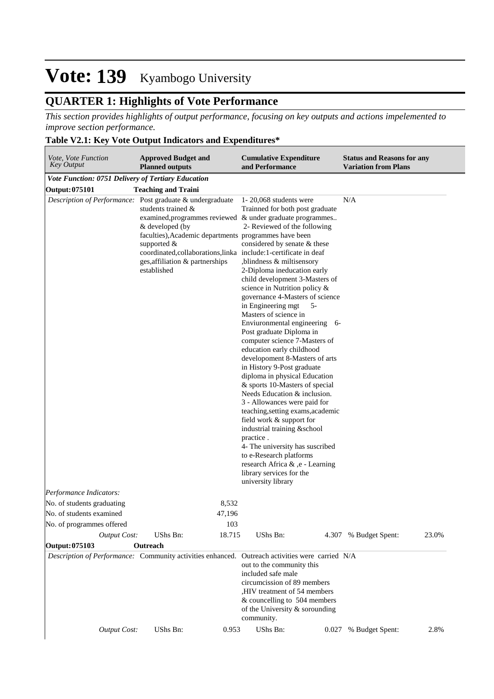## **QUARTER 1: Highlights of Vote Performance**

*This section provides highlights of output performance, focusing on key outputs and actions impelemented to improve section performance.*

### **Table V2.1: Key Vote Output Indicators and Expenditures\***

| Vote, Vote Function<br>Key Output                         | <b>Approved Budget and</b><br><b>Planned outputs</b>                                                                                                                                                                                                                                                   | <b>Cumulative Expenditure</b><br>and Performance                                                                                                                                                                                                                                                                                                                                                                                                                                                                                                                                                                                                                                                                                                                                                                                                                                                                                                                                                                 | <b>Status and Reasons for any</b><br><b>Variation from Plans</b> |
|-----------------------------------------------------------|--------------------------------------------------------------------------------------------------------------------------------------------------------------------------------------------------------------------------------------------------------------------------------------------------------|------------------------------------------------------------------------------------------------------------------------------------------------------------------------------------------------------------------------------------------------------------------------------------------------------------------------------------------------------------------------------------------------------------------------------------------------------------------------------------------------------------------------------------------------------------------------------------------------------------------------------------------------------------------------------------------------------------------------------------------------------------------------------------------------------------------------------------------------------------------------------------------------------------------------------------------------------------------------------------------------------------------|------------------------------------------------------------------|
| <b>Vote Function: 0751 Delivery of Tertiary Education</b> |                                                                                                                                                                                                                                                                                                        |                                                                                                                                                                                                                                                                                                                                                                                                                                                                                                                                                                                                                                                                                                                                                                                                                                                                                                                                                                                                                  |                                                                  |
| Output: 075101                                            | <b>Teaching and Traini</b>                                                                                                                                                                                                                                                                             |                                                                                                                                                                                                                                                                                                                                                                                                                                                                                                                                                                                                                                                                                                                                                                                                                                                                                                                                                                                                                  |                                                                  |
|                                                           | Description of Performance: Post graduate & undergraduate<br>students trained $\&$<br>& developed (by<br>faculties), Academic departments programmes have been<br>supported $&$<br>coordinated, collaborations, linka include: 1-certificate in deaf<br>ges, affiliation & partnerships<br>established | 1- $20,068$ students were<br>Trainned for both post graduate<br>examined, programmes reviewed & under graduate programmes<br>2- Reviewed of the following<br>considered by senate & these<br>,blindness & miltisensory<br>2-Diploma ineducation early<br>child development 3-Masters of<br>science in Nutrition policy &<br>governance 4-Masters of science<br>in Engineering mgt<br>$5-$<br>Masters of science in<br>Enviuronmental engineering 6-<br>Post graduate Diploma in<br>computer science 7-Masters of<br>education early childhood<br>developoment 8-Masters of arts<br>in History 9-Post graduate<br>diploma in physical Education<br>& sports 10-Masters of special<br>Needs Education & inclusion.<br>3 - Allowances were paid for<br>teaching, setting exams, academic<br>field work & support for<br>industrial training &school<br>practice.<br>4- The university has suscribed<br>to e-Research platforms<br>research Africa & ,e - Learning<br>library services for the<br>university library | N/A                                                              |
| Performance Indicators:                                   |                                                                                                                                                                                                                                                                                                        |                                                                                                                                                                                                                                                                                                                                                                                                                                                                                                                                                                                                                                                                                                                                                                                                                                                                                                                                                                                                                  |                                                                  |
| No. of students graduating                                | 8,532                                                                                                                                                                                                                                                                                                  |                                                                                                                                                                                                                                                                                                                                                                                                                                                                                                                                                                                                                                                                                                                                                                                                                                                                                                                                                                                                                  |                                                                  |
| No. of students examined                                  | 47,196                                                                                                                                                                                                                                                                                                 |                                                                                                                                                                                                                                                                                                                                                                                                                                                                                                                                                                                                                                                                                                                                                                                                                                                                                                                                                                                                                  |                                                                  |
| No. of programmes offered                                 | 103                                                                                                                                                                                                                                                                                                    |                                                                                                                                                                                                                                                                                                                                                                                                                                                                                                                                                                                                                                                                                                                                                                                                                                                                                                                                                                                                                  |                                                                  |
| <b>Output Cost:</b>                                       | UShs Bn:<br>18.715                                                                                                                                                                                                                                                                                     | UShs Bn:                                                                                                                                                                                                                                                                                                                                                                                                                                                                                                                                                                                                                                                                                                                                                                                                                                                                                                                                                                                                         | 23.0%<br>4.307 % Budget Spent:                                   |
| Output: 075103                                            | Outreach                                                                                                                                                                                                                                                                                               |                                                                                                                                                                                                                                                                                                                                                                                                                                                                                                                                                                                                                                                                                                                                                                                                                                                                                                                                                                                                                  |                                                                  |
|                                                           |                                                                                                                                                                                                                                                                                                        | Description of Performance: Community activities enhanced. Outreach activities were carried N/A<br>out to the community this<br>included safe male<br>circumcission of 89 members<br>, HIV treatment of 54 members<br>& councelling to 504 members<br>of the University & sorounding<br>community.                                                                                                                                                                                                                                                                                                                                                                                                                                                                                                                                                                                                                                                                                                               |                                                                  |
|                                                           |                                                                                                                                                                                                                                                                                                        |                                                                                                                                                                                                                                                                                                                                                                                                                                                                                                                                                                                                                                                                                                                                                                                                                                                                                                                                                                                                                  |                                                                  |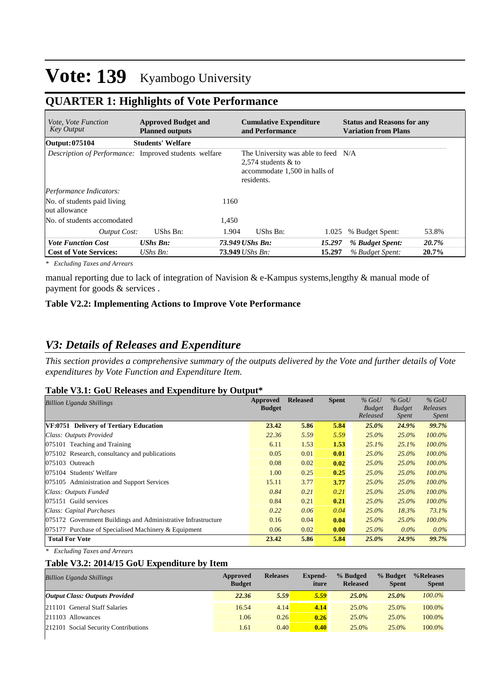## **QUARTER 1: Highlights of Vote Performance**

| <i>Vote, Vote Function</i><br><b>Key Output</b>              | <b>Approved Budget and</b><br><b>Planned outputs</b> |       | <b>Cumulative Expenditure</b><br>and Performance                                                            | <b>Status and Reasons for any</b><br>Variation from Plans |       |  |  |
|--------------------------------------------------------------|------------------------------------------------------|-------|-------------------------------------------------------------------------------------------------------------|-----------------------------------------------------------|-------|--|--|
| Output: 075104                                               | <b>Students' Welfare</b>                             |       |                                                                                                             |                                                           |       |  |  |
| <i>Description of Performance:</i> Improved students welfare |                                                      |       | The University was able to feed N/A<br>2,574 students $&$ to<br>accommodate 1,500 in halls of<br>residents. |                                                           |       |  |  |
| Performance Indicators:                                      |                                                      |       |                                                                                                             |                                                           |       |  |  |
| No. of students paid living<br>out allowance                 |                                                      | 1160  |                                                                                                             |                                                           |       |  |  |
| No. of students accomodated                                  |                                                      | 1,450 |                                                                                                             |                                                           |       |  |  |
| <b>Output Cost:</b>                                          | UShs Bn:                                             | 1.904 | UShs Bn:<br>1.025                                                                                           | % Budget Spent:                                           | 53.8% |  |  |
| <b>Vote Function Cost</b>                                    | <b>UShs Bn:</b>                                      |       | 73.949 UShs Bn:<br>15.297                                                                                   | % Budget Spent:                                           | 20.7% |  |  |
| <b>Cost of Vote Services:</b>                                | UShs $Bn$ :                                          |       | <b>73.949</b> <i>UShs Bn:</i><br>15.297                                                                     | % Budget Spent:                                           | 20.7% |  |  |

*\* Excluding Taxes and Arrears*

manual reporting due to lack of integration of Navision & e-Kampus systems,lengthy & manual mode of payment for goods & services .

#### **Table V2.2: Implementing Actions to Improve Vote Performance**

### *V3: Details of Releases and Expenditure*

*This section provides a comprehensive summary of the outputs delivered by the Vote and further details of Vote expenditures by Vote Function and Expenditure Item.*

#### **Table V3.1: GoU Releases and Expenditure by Output\***

| <b>Billion Uganda Shillings</b>                               | Approved<br><b>Budget</b> | <b>Released</b> | <b>Spent</b> | $%$ GoU<br><b>Budget</b><br>Released | $%$ GoU<br><b>Budget</b><br><i>Spent</i> | $%$ GoU<br>Releases<br><i>Spent</i> |
|---------------------------------------------------------------|---------------------------|-----------------|--------------|--------------------------------------|------------------------------------------|-------------------------------------|
| VF:0751 Delivery of Tertiary Education                        | 23.42                     | 5.86            | 5.84         | 25.0%                                | 24.9%                                    | 99.7%                               |
| Class: Outputs Provided                                       | 22.36                     | 5.59            | 5.59         | $25.0\%$                             | $25.0\%$                                 | $100.0\%$                           |
| 075101 Teaching and Training                                  | 6.11                      | 1.53            | 1.53         | 25.1%                                | 25.1%                                    | $100.0\%$                           |
| 075102 Research, consultancy and publications                 | 0.05                      | 0.01            | 0.01         | $25.0\%$                             | 25.0%                                    | $100.0\%$                           |
| 075103 Outreach                                               | 0.08                      | 0.02            | 0.02         | $25.0\%$                             | $25.0\%$                                 | $100.0\%$                           |
| 075104 Students' Welfare                                      | 1.00                      | 0.25            | 0.25         | $25.0\%$                             | $25.0\%$                                 | 100.0%                              |
| 075105 Administration and Support Services                    | 15.11                     | 3.77            | 3.77         | $25.0\%$                             | 25.0%                                    | 100.0%                              |
| Class: Outputs Funded                                         | 0.84                      | 0.21            | 0.21         | $25.0\%$                             | $25.0\%$                                 | $100.0\%$                           |
| 075151 Guild services                                         | 0.84                      | 0.21            | 0.21         | $25.0\%$                             | $25.0\%$                                 | $100.0\%$                           |
| Class: Capital Purchases                                      | 0.22                      | 0.06            | 0.04         | $25.0\%$                             | 18.3%                                    | 73.1%                               |
| 075172 Government Buildings and Administrative Infrastructure | 0.16                      | 0.04            | 0.04         | $25.0\%$                             | $25.0\%$                                 | $100.0\%$                           |
| 075177 Purchase of Specialised Machinery & Equipment          | 0.06                      | 0.02            | 0.00         | $25.0\%$                             | $0.0\%$                                  | $0.0\%$                             |
| <b>Total For Vote</b>                                         | 23.42                     | 5.86            | 5.84         | $25.0\%$                             | 24.9%                                    | 99.7%                               |

*\* Excluding Taxes and Arrears*

#### **Table V3.2: 2014/15 GoU Expenditure by Item**

| <b>Billion Uganda Shillings</b>       | Approved<br><b>Budget</b> | <b>Releases</b> | <b>Expend-</b><br>iture | % Budged<br><b>Released</b> | % Budget<br><b>Spent</b> | %Releases<br><b>Spent</b> |
|---------------------------------------|---------------------------|-----------------|-------------------------|-----------------------------|--------------------------|---------------------------|
| <b>Output Class: Outputs Provided</b> | 22.36                     | 5.59            | 5.59                    | $25.0\%$                    | 25.0%                    | $100.0\%$                 |
| 211101 General Staff Salaries         | 16.54                     | 4.14            | 4.14                    | 25.0%                       | 25.0%                    | 100.0%                    |
| $ 211103$ Allowances                  | 1.06                      | 0.26            | 0.26                    | 25.0%                       | 25.0%                    | 100.0%                    |
| 212101 Social Security Contributions  | 1.61                      | 0.40            | 0.40                    | 25.0%                       | 25.0%                    | 100.0%                    |
|                                       |                           |                 |                         |                             |                          |                           |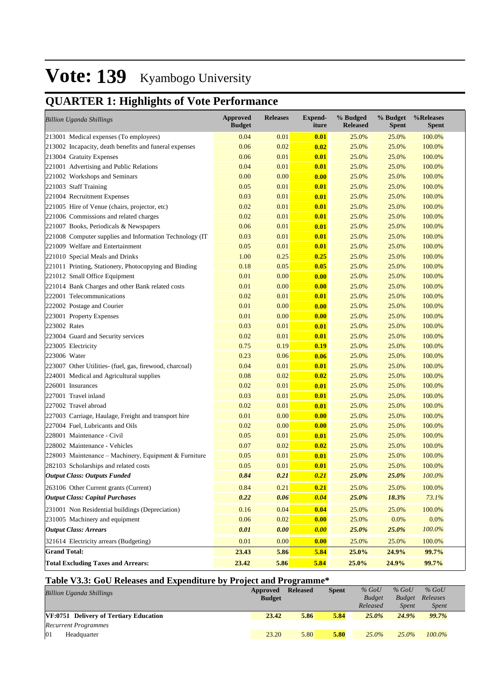## **QUARTER 1: Highlights of Vote Performance**

| <b>Billion Uganda Shillings</b>                         | <b>Approved</b><br><b>Budget</b> | <b>Releases</b> | <b>Expend-</b><br>iture | % Budged<br><b>Released</b> | % Budget<br><b>Spent</b> | %Releases<br><b>Spent</b> |
|---------------------------------------------------------|----------------------------------|-----------------|-------------------------|-----------------------------|--------------------------|---------------------------|
| 213001 Medical expenses (To employees)                  | 0.04                             | 0.01            | 0.01                    | 25.0%                       | 25.0%                    | 100.0%                    |
| 213002 Incapacity, death benefits and funeral expenses  | 0.06                             | 0.02            | 0.02                    | 25.0%                       | 25.0%                    | 100.0%                    |
| 213004 Gratuity Expenses                                | 0.06                             | 0.01            | 0.01                    | 25.0%                       | 25.0%                    | 100.0%                    |
| 221001 Advertising and Public Relations                 | 0.04                             | 0.01            | 0.01                    | 25.0%                       | 25.0%                    | 100.0%                    |
| 221002 Workshops and Seminars                           | 0.00                             | 0.00            | 0.00                    | 25.0%                       | 25.0%                    | 100.0%                    |
| 221003 Staff Training                                   | 0.05                             | 0.01            | 0.01                    | 25.0%                       | 25.0%                    | 100.0%                    |
| 221004 Recruitment Expenses                             | 0.03                             | 0.01            | 0.01                    | 25.0%                       | 25.0%                    | 100.0%                    |
| 221005 Hire of Venue (chairs, projector, etc)           | 0.02                             | 0.01            | 0.01                    | 25.0%                       | 25.0%                    | 100.0%                    |
| 221006 Commissions and related charges                  | 0.02                             | 0.01            | 0.01                    | 25.0%                       | 25.0%                    | 100.0%                    |
| 221007 Books, Periodicals & Newspapers                  | 0.06                             | 0.01            | 0.01                    | 25.0%                       | 25.0%                    | 100.0%                    |
| 221008 Computer supplies and Information Technology (IT | 0.03                             | 0.01            | 0.01                    | 25.0%                       | 25.0%                    | 100.0%                    |
| 221009 Welfare and Entertainment                        | 0.05                             | 0.01            | 0.01                    | 25.0%                       | 25.0%                    | 100.0%                    |
| 221010 Special Meals and Drinks                         | 1.00                             | 0.25            | 0.25                    | 25.0%                       | 25.0%                    | 100.0%                    |
| 221011 Printing, Stationery, Photocopying and Binding   | 0.18                             | 0.05            | 0.05                    | 25.0%                       | 25.0%                    | 100.0%                    |
| 221012 Small Office Equipment                           | 0.01                             | 0.00            | 0.00                    | 25.0%                       | 25.0%                    | 100.0%                    |
| 221014 Bank Charges and other Bank related costs        | 0.01                             | 0.00            | 0.00                    | 25.0%                       | 25.0%                    | 100.0%                    |
| 222001 Telecommunications                               | 0.02                             | 0.01            | 0.01                    | 25.0%                       | 25.0%                    | 100.0%                    |
| 222002 Postage and Courier                              | 0.01                             | 0.00            | 0.00                    | 25.0%                       | 25.0%                    | 100.0%                    |
| 223001 Property Expenses                                | 0.01                             | 0.00            | 0.00                    | 25.0%                       | 25.0%                    | 100.0%                    |
| 223002 Rates                                            | 0.03                             | 0.01            | 0.01                    | 25.0%                       | 25.0%                    | 100.0%                    |
| 223004 Guard and Security services                      | 0.02                             | 0.01            | 0.01                    | 25.0%                       | 25.0%                    | 100.0%                    |
| 223005 Electricity                                      | 0.75                             | 0.19            | 0.19                    | 25.0%                       | 25.0%                    | 100.0%                    |
| 223006 Water                                            | 0.23                             | 0.06            | 0.06                    | 25.0%                       | 25.0%                    | 100.0%                    |
| 223007 Other Utilities- (fuel, gas, firewood, charcoal) | 0.04                             | 0.01            | 0.01                    | 25.0%                       | 25.0%                    | 100.0%                    |
| 224001 Medical and Agricultural supplies                | 0.08                             | 0.02            | 0.02                    | 25.0%                       | 25.0%                    | 100.0%                    |
| 226001 Insurances                                       | 0.02                             | 0.01            | 0.01                    | 25.0%                       | 25.0%                    | 100.0%                    |
| 227001 Travel inland                                    | 0.03                             | 0.01            | 0.01                    | 25.0%                       | 25.0%                    | 100.0%                    |
| 227002 Travel abroad                                    | 0.02                             | 0.01            | 0.01                    | 25.0%                       | 25.0%                    | 100.0%                    |
| 227003 Carriage, Haulage, Freight and transport hire    | 0.01                             | 0.00            | 0.00                    | 25.0%                       | 25.0%                    | 100.0%                    |
| 227004 Fuel, Lubricants and Oils                        | 0.02                             | 0.00            | 0.00                    | 25.0%                       | 25.0%                    | 100.0%                    |
| 228001 Maintenance - Civil                              | 0.05                             | 0.01            | 0.01                    | 25.0%                       | 25.0%                    | 100.0%                    |
| 228002 Maintenance - Vehicles                           | 0.07                             | 0.02            | 0.02                    | 25.0%                       | 25.0%                    | 100.0%                    |
| 228003 Maintenance – Machinery, Equipment & Furniture   | 0.05                             | 0.01            | 0.01                    | 25.0%                       | 25.0%                    | 100.0%                    |
| 282103 Scholarships and related costs                   | 0.05                             | 0.01            | 0.01                    | 25.0%                       | 25.0%                    | 100.0%                    |
| <b>Output Class: Outputs Funded</b>                     | 0.84                             | 0.21            | 0.21                    | 25.0%                       | 25.0%                    | 100.0%                    |
| 263106 Other Current grants (Current)                   | 0.84                             | 0.21            | 0.21                    | 25.0%                       | 25.0%                    | 100.0%                    |
| <b>Output Class: Capital Purchases</b>                  | 0.22                             | 0.06            | 0.04                    | 25.0%                       | 18.3%                    | 73.1%                     |
| 231001 Non Residential buildings (Depreciation)         | 0.16                             | 0.04            | 0.04                    | 25.0%                       | 25.0%                    | 100.0%                    |
| 231005 Machinery and equipment                          | 0.06                             | 0.02            | 0.00                    | 25.0%                       | $0.0\%$                  | 0.0%                      |
| <b>Output Class: Arrears</b>                            | 0.01                             | 0.00            | 0.00                    | 25.0%                       | 25.0%                    | $100.0\%$                 |
| 321614 Electricity arrears (Budgeting)                  | 0.01                             | 0.00            | 0.00                    | 25.0%                       | 25.0%                    | 100.0%                    |
| <b>Grand Total:</b>                                     | 23.43                            | 5.86            | 5.84                    | 25.0%                       | 24.9%                    | 99.7%                     |
| <b>Total Excluding Taxes and Arrears:</b>               | 23.42                            | 5.86            | 5.84                    | 25.0%                       | 24.9%                    | 99.7%                     |

### **Table V3.3: GoU Releases and Expenditure by Project and Programme\***

| <b>Billion Uganda Shillings</b>        | Approved      | <b>Released</b> | <b>Spent</b> | $%$ GoU       | $%$ GoU       | $%$ GoU      |  |
|----------------------------------------|---------------|-----------------|--------------|---------------|---------------|--------------|--|
|                                        | <b>Budget</b> |                 |              | <b>Budget</b> | <b>Budget</b> | Releases     |  |
|                                        |               |                 |              | Released      | <b>Spent</b>  | <i>Spent</i> |  |
| VF:0751 Delivery of Tertiary Education | 23.42         | 5.86            | 5.84         | $25.0\%$      | 24.9%         | 99.7%        |  |
| <b>Recurrent Programmes</b>            |               |                 |              |               |               |              |  |
| 01<br>Headquarter                      | 23.20         | 5.80            | 5.80         | $25.0\%$      | $25.0\%$      | $100.0\%$    |  |